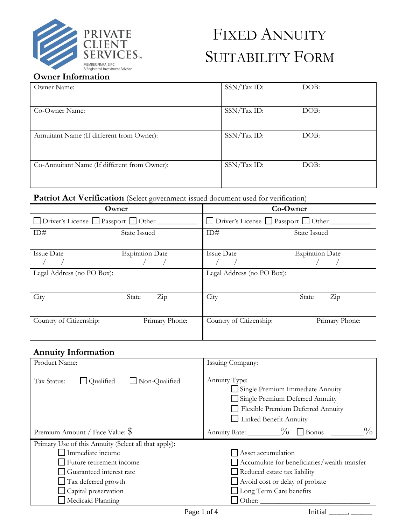

# FIXED ANNUITY SUITABILITY FORM

# **Owner Information**

| Owner Name:                                  | SSN/Tax ID: | DOB: |
|----------------------------------------------|-------------|------|
| Co-Owner Name:                               | SSN/Tax ID: | DOB: |
| Annuitant Name (If different from Owner):    | SSN/Tax ID: | DOB: |
| Co-Annuitant Name (If different from Owner): | SSN/Tax ID: | DOB: |

# Patriot Act Verification (Select government-issued document used for verification)

| Owner                                 |                            | Co-Owner                              |                               |
|---------------------------------------|----------------------------|---------------------------------------|-------------------------------|
| □ Driver's License □ Passport □ Other |                            | □ Driver's License □ Passport □ Other |                               |
| ID#                                   | <b>State Issued</b>        | ID#                                   | <b>State Issued</b>           |
| <b>Issue Date</b>                     | <b>Expiration Date</b>     | <b>Issue Date</b>                     | <b>Expiration Date</b>        |
| Legal Address (no PO Box):            |                            | Legal Address (no PO Box):            |                               |
| City                                  | $\overline{Z}$ ip<br>State | City                                  | $\operatorname{Zip}$<br>State |
| Country of Citizenship:               | Primary Phone:             | Country of Citizenship:               | Primary Phone:                |

# **Annuity Information**

| Product Name:                                        | Issuing Company:                                                                                                                                    |  |  |
|------------------------------------------------------|-----------------------------------------------------------------------------------------------------------------------------------------------------|--|--|
| Qualified<br>Non-Qualified<br>Tax Status:            | Annuity Type:<br>Single Premium Immediate Annuity<br>Single Premium Deferred Annuity<br>Flexible Premium Deferred Annuity<br>Linked Benefit Annuity |  |  |
| Premium Amount / Face Value: \$                      | $\frac{0}{0}$<br>Annuity Rate: $\frac{0}{0}$<br>$\Box$ Bonus                                                                                        |  |  |
| Primary Use of this Annuity (Select all that apply): |                                                                                                                                                     |  |  |
| Immediate income                                     | Asset accumulation                                                                                                                                  |  |  |
| Future retirement income                             | Accumulate for beneficiaries/wealth transfer                                                                                                        |  |  |
| Guaranteed interest rate                             | Reduced estate tax liability                                                                                                                        |  |  |
| Tax deferred growth                                  | November 2015 Avoid cost or delay of probate                                                                                                        |  |  |
| Capital preservation                                 | Long Term Care benefits                                                                                                                             |  |  |
| Medicaid Planning                                    | $\exists$ Other:                                                                                                                                    |  |  |

Page 1 of 4 Initial \_\_\_\_\_\_\_, \_\_\_\_\_\_\_\_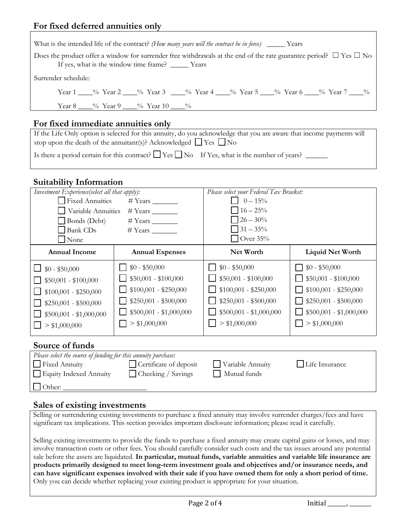#### **For fixed deferred annuities only**

| What is the intended life of the contract? (How many years will the contract be in force) _______ Years                                                                             |  |  |  |  |
|-------------------------------------------------------------------------------------------------------------------------------------------------------------------------------------|--|--|--|--|
| Does the product offer a window for surrender free withdrawals at the end of the rate guarantee period? $\Box$ Yes $\Box$ No<br>If yes, what is the window time frame? ______ Years |  |  |  |  |
| Surrender schedule:                                                                                                                                                                 |  |  |  |  |
| Year 1 ____% Year 2 ____% Year 3 ____% Year 4 ____% Year 5 ____% Year 6 ____% Year 7 ____%                                                                                          |  |  |  |  |
| Year 8 ____% Year 9 ____% Year 10 ____%                                                                                                                                             |  |  |  |  |
|                                                                                                                                                                                     |  |  |  |  |

## **For fixed immediate annuities only**

| If the Life Only option is selected for this annuity, do you acknowledge that you are aware that income payments will |
|-----------------------------------------------------------------------------------------------------------------------|
| stop upon the death of the annuitant(s)? Acknowledged $\Box$ Yes $\Box$ No                                            |
|                                                                                                                       |

Is there a period certain for this contract?  $\Box$  Yes  $\Box$  No If Yes, what is the number of years?  $\Box$ 

## **Suitability Information**

| Investment Experience(select all that apply): |                         | Please select your Federal Tax Bracket: |                         |
|-----------------------------------------------|-------------------------|-----------------------------------------|-------------------------|
| <b>Fixed Annuities</b>                        |                         | $0 - 15\%$                              |                         |
| Variable Annuities                            |                         | $16 - 25\%$                             |                         |
| Bonds (Debt)                                  |                         | $26 - 30\%$                             |                         |
| <b>Bank CDs</b>                               |                         | $31 - 35\%$                             |                         |
| None                                          |                         | $\sqrt{\frac{1}{100}}$ Over 35%         |                         |
| <b>Annual Income</b>                          | <b>Annual Expenses</b>  | Net Worth                               | <b>Liquid Net Worth</b> |
| $\Box$ \$0 - \$50,000                         | $$0 - $50,000$          | $$0 - $50,000$                          | $$0 - $50,000$          |
| $$50,001 - $100,000$                          | $$50,001 - $100,000$    | $$50,001 - $100,000$                    | $$50,001 - $100,000$    |
| $$100,001 - $250,000$                         | $$100,001 - $250,000$   | $$100,001 - $250,000$                   | $$100,001 - $250,000$   |
| $$250,001 - $500,000$                         | $$250,001 - $500,000$   | $$250,001 - $500,000$                   | $$250,001 - $500,000$   |
| $$500,001 - $1,000,000$                       | $$500,001 - $1,000,000$ | $$500,001 - $1,000,000$                 | $$500,001 - $1,000,000$ |
| > \$1,000,000                                 | > \$1,000,000           | > \$1,000,000                           | > \$1,000,000           |
| Source of funds                               |                         |                                         |                         |

| Please select the source of funding for this annuity purchase: |                               |                  |                |
|----------------------------------------------------------------|-------------------------------|------------------|----------------|
| $\Box$ Fixed Annuity                                           | $\Box$ Certificate of deposit | Variable Annuity | Life Insurance |
| Equity Indexed Annuity                                         | □ Checking / Savings          | Mutual funds     |                |
| $\Box$ Other:                                                  |                               |                  |                |

#### **Sales of existing investments**

Selling or surrendering existing investments to purchase a fixed annuity may involve surrender charges/fees and have significant tax implications. This section provides important disclosure information; please read it carefully.

Selling existing investments to provide the funds to purchase a fixed annuity may create capital gains or losses, and may involve transaction costs or other fees. You should carefully consider such costs and the tax issues around any potential sale before the assets are liquidated. **In particular, mutual funds, variable annuities and variable life insurance are products primarily designed to meet long-term investment goals and objectives and/or insurance needs, and can have significant expenses involved with their sale if you have owned them for only a short period of time.**  Only you can decide whether replacing your existing product is appropriate for your situation.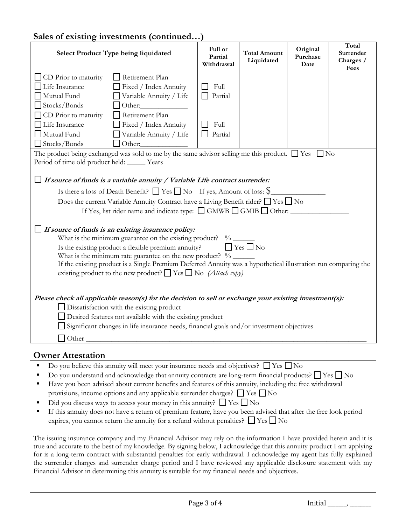## **Sales of existing investments (continued…)**

| <b>Select Product Type being liquidated</b>                                                                                                                                                                                                                                                                                                                                                                                                                       | Full or<br>Partial<br>Withdrawal | <b>Total Amount</b><br>Liquidated | Original<br>Purchase<br>Date | Total<br>Surrender<br>Charges /<br>Fees |
|-------------------------------------------------------------------------------------------------------------------------------------------------------------------------------------------------------------------------------------------------------------------------------------------------------------------------------------------------------------------------------------------------------------------------------------------------------------------|----------------------------------|-----------------------------------|------------------------------|-----------------------------------------|
| Retirement Plan<br>CD Prior to maturity<br>Life Insurance<br>Fixed / Index Annuity                                                                                                                                                                                                                                                                                                                                                                                | Full                             |                                   |                              |                                         |
| Mutual Fund<br>Variable Annuity / Life<br>Stocks/Bonds<br>$\Box$ Other:                                                                                                                                                                                                                                                                                                                                                                                           | Partial                          |                                   |                              |                                         |
| Retirement Plan<br>CD Prior to maturity                                                                                                                                                                                                                                                                                                                                                                                                                           |                                  |                                   |                              |                                         |
| Life Insurance<br>Fixed / Index Annuity                                                                                                                                                                                                                                                                                                                                                                                                                           | Full                             |                                   |                              |                                         |
| Mutual Fund<br>$\Box$ Variable Annuity / Life                                                                                                                                                                                                                                                                                                                                                                                                                     | Partial                          |                                   |                              |                                         |
| Stocks/Bonds<br>$\Box$ Other:                                                                                                                                                                                                                                                                                                                                                                                                                                     |                                  |                                   |                              |                                         |
| The product being exchanged was sold to me by the same advisor selling me this product. $\Box$ Yes $\Box$ No<br>Period of time old product held: _____ Years                                                                                                                                                                                                                                                                                                      |                                  |                                   |                              |                                         |
| $\Box$ If source of funds is a variable annuity / Variable Life contract surrender:                                                                                                                                                                                                                                                                                                                                                                               |                                  |                                   |                              |                                         |
| Is there a loss of Death Benefit? $\Box$ Yes $\Box$ No If yes, Amount of loss: $\$\$                                                                                                                                                                                                                                                                                                                                                                              |                                  |                                   |                              |                                         |
| Does the current Variable Annuity Contract have a Living Benefit rider? □ Yes □ No                                                                                                                                                                                                                                                                                                                                                                                |                                  |                                   |                              |                                         |
| If Yes, list rider name and indicate type: □ GMWB □ GMIB □ Other:                                                                                                                                                                                                                                                                                                                                                                                                 |                                  |                                   |                              |                                         |
| $\Box$ If source of funds is an existing insurance policy:<br>What is the minimum guarantee on the existing product? %<br>$\Box$ Yes $\Box$ No<br>Is the existing product a flexible premium annuity?<br>What is the minimum rate guarantee on the new product? $\%$<br>If the existing product is a Single Premium Deferred Annuity was a hypothetical illustration run comparing the<br>existing product to the new product? $\Box$ Yes $\Box$ No (Attach copy) |                                  |                                   |                              |                                         |
| Please check all applicable reason(s) for the decision to sell or exchange your existing investment(s):<br>□ Dissatisfaction with the existing product<br>□ Desired features not available with the existing product<br>Significant changes in life insurance needs, financial goals and/or investment objectives<br>Other                                                                                                                                        |                                  |                                   |                              |                                         |
| <b>Owner Attestation</b>                                                                                                                                                                                                                                                                                                                                                                                                                                          |                                  |                                   |                              |                                         |
| Do you believe this annuity will meet your insurance needs and objectives? $\Box$ Yes $\Box$ No                                                                                                                                                                                                                                                                                                                                                                   |                                  |                                   |                              |                                         |

- Do you understand and acknowledge that annuity contracts are long-term financial products? ☐ Yes ☐ No
- Have you been advised about current benefits and features of this annuity, including the free withdrawal provisions, income options and any applicable surrender charges?  $\Box$  Yes  $\Box$  No
- Did you discuss ways to access your money in this annuity?  $\square$  Yes  $\square$  No
- If this annuity does not have a return of premium feature, have you been advised that after the free look period expires, you cannot return the annuity for a refund without penalties?  $\Box$  Yes  $\Box$  No

The issuing insurance company and my Financial Advisor may rely on the information I have provided herein and it is true and accurate to the best of my knowledge. By signing below, I acknowledge that this annuity product I am applying for is a long-term contract with substantial penalties for early withdrawal. I acknowledge my agent has fully explained the surrender charges and surrender charge period and I have reviewed any applicable disclosure statement with my Financial Advisor in determining this annuity is suitable for my financial needs and objectives.